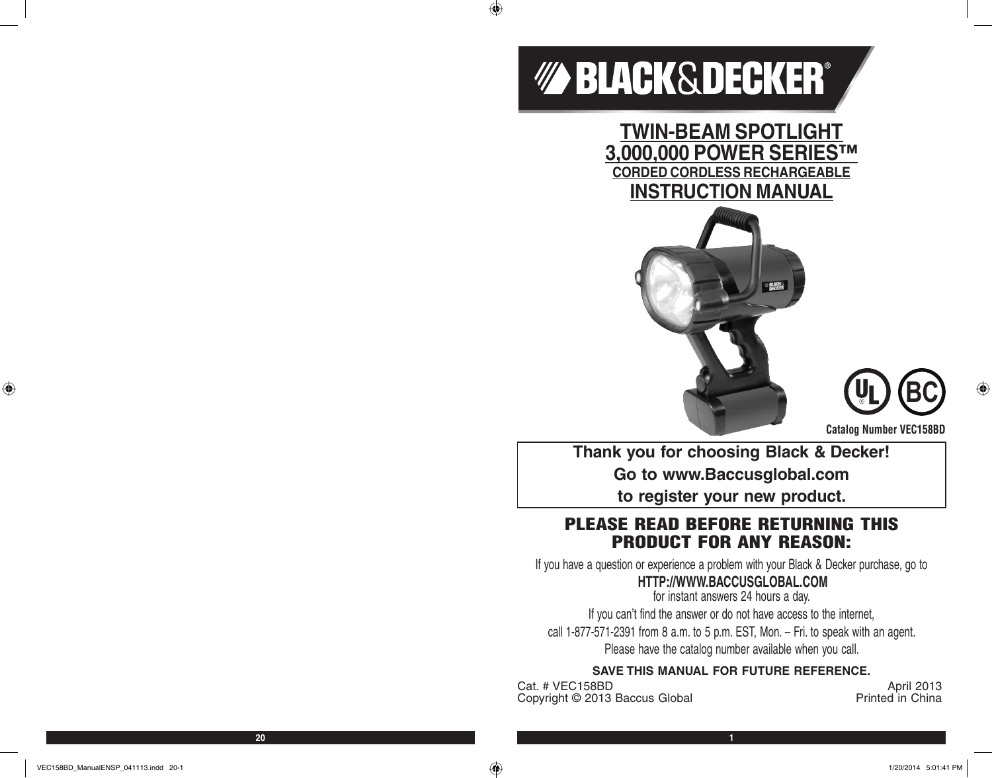# *MABLACK&DECKER®*

 $\bigoplus$ 

**TWIN-BEAM SPOTLIGHT 3,000,000 POWER SERIES™ CORDED CORDLESS RECHARGEABLE INSTRUCTION MANUAL**





**Catalog Number VEC158BD**

**Thank you for choosing Black & Decker! Go to www.Baccusglobal.com to register your new product.**

# PLEASE READ BEFORE RETURNING THIS PRODUCT FOR ANY REASON:

If you have a question or experience a problem with your Black & Decker purchase, go to

# **HTTP://WWW.BACCUSGLOBAL.COM**

for instant answers 24 hours a day. If you can't find the answer or do not have access to the internet, call 1-877-571-2391 from 8 a.m. to 5 p.m. EST, Mon. – Fri. to speak with an agent. Please have the catalog number available when you call.

# **SAVE THIS MANUAL FOR FUTURE REFERENCE.**

Cat. # VEC158BD <br>Convright © 2013 Baccus Global **April 2013** Printed in China Copyright © 2013 Baccus Global

VEC158BD\_ManualENSP\_041113.indd 20-1 1/20/2014 5:01:41 PM 1/20/2014 5:01:41 PM 1/20/2014 5:01:41 PM

⊕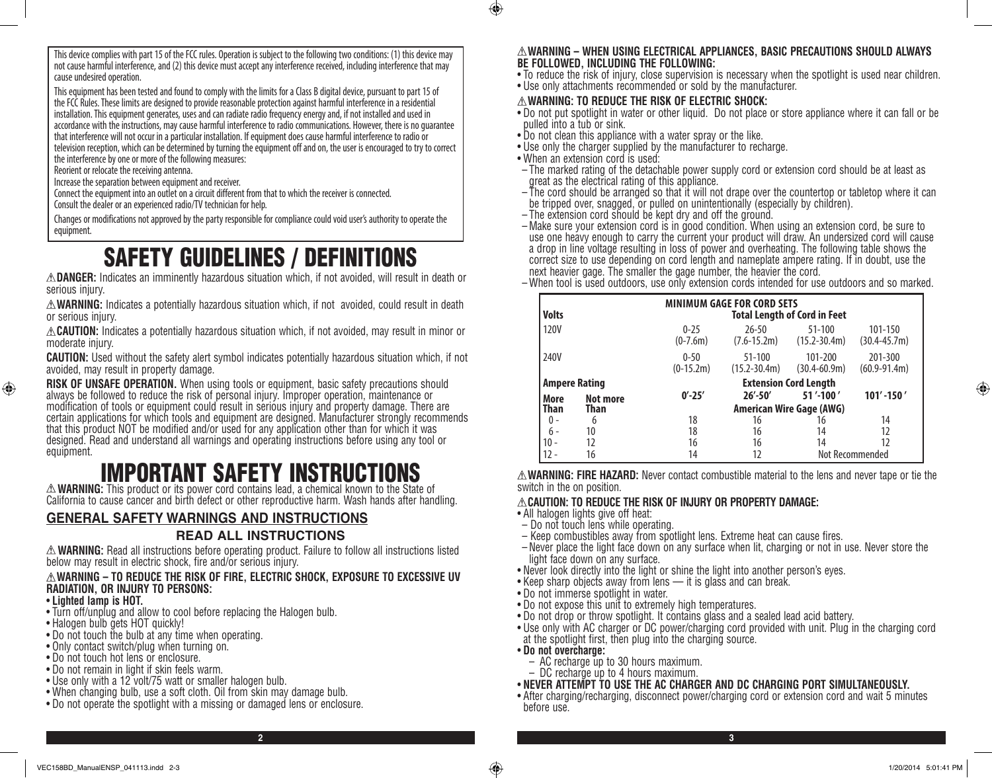This device complies with part 15 of the FCC rules. Operation is subject to the following two conditions: (1) this device may not cause harmful interference, and (2) this device must accept any interference received, including interference that may cause undesired operation.

This equipment has been tested and found to comply with the limits for a Class B digital device, pursuant to part 15 of the FCC Rules. These limits are designed to provide reasonable protection against harmful interference in a residential installation. This equipment generates, uses and can radiate radio frequency energy and, if not installed and used in accordance with the instructions, may cause harmful interference to radio communications. However, there is no guarantee that interference will not occur in a particular installation. If equipment does cause harmful interference to radio or television reception, which can be determined by turning the equipment off and on, the user is encouraged to try to correct the interference by one or more of the following measures:

Reorient or relocate the receiving antenna.

Increase the separation between equipment and receiver.

Connect the equipment into an outlet on a circuit different from that to which the receiver is connected.

Consult the dealer or an experienced radio/TV technician for help.

Changes or modifications not approved by the party responsible for compliance could void user's authority to operate the equipment.

# SAFETY GUIDELINES / DEFINITIONS

**DANGER:** Indicates an imminently hazardous situation which, if not avoided, will result in death or serious injury.

**WARNING:** Indicates a potentially hazardous situation which, if not avoided, could result in death or serious injury.

**CAUTION:** Indicates a potentially hazardous situation which, if not avoided, may result in minor or moderate injury.

**CAUTION:** Used without the safety alert symbol indicates potentially hazardous situation which, if not avoided, may result in property damage.

**RISK OF UNSAFE OPERATION.** When using tools or equipment, basic safety precautions should always be followed to reduce the risk of personal injury. Improper operation, maintenance or modification of tools or equipment could result in serious injury and property damage. There are certain applications for which tools and equipment are designed. Manufacturer strongly recommends that this product NOT be modified and/or used for any application other than for which it was designed. Read and understand all warnings and operating instructions before using any tool or equipment.

# **EXAMPLE AND SAFETY INSTRUCTIONS**<br>A WARNING: This product or its power cord contains lead, a chemical known to the State of

California to cause cancer and birth defect or other reproductive harm. Wash hands after handling.

# **GENERAL SAFETY WARNINGS AND INSTRUCTIONS**

## **READ ALL INSTRUCTIONS**

**WARNING:** Read all instructions before operating product. Failure to follow all instructions listed below may result in electric shock, fire and/or serious injury.

## **WARNING – TO REDUCE THE RISK OF FIRE, ELECTRIC SHOCK, EXPOSURE TO EXCESSIVE UV RADIATION, OR INJURY TO PERSONS:**

## • **Lighted lamp is HOT.**

⊕

- Turn off/unplug and allow to cool before replacing the Halogen bulb.
- Halogen bulb gets HOT quickly!
- Do not touch the bulb at any time when operating.
- Only contact switch/plug when turning on.
- Do not touch hot lens or enclosure.
- Do not remain in light if skin feels warm.
- Use only with a 12 volt/75 watt or smaller halogen bulb.
- When changing bulb, use a soft cloth. Oil from skin may damage bulb.
- Do not operate the spotlight with a missing or damaged lens or enclosure.

### **WARNING – WHEN USING ELECTRICAL APPLIANCES, BASIC PRECAUTIONS SHOULD ALWAYS BE FOLLOWED, INCLUDING THE FOLLOWING:**

- To reduce the risk of injury, close supervision is necessary when the spotlight is used near children.
- Use only attachments recommended or sold by the manufacturer.

## **WARNING: TO REDUCE THE RISK OF ELECTRIC SHOCK:**

- Do not put spotlight in water or other liquid. Do not place or store appliance where it can fall or be pulled into a tub or sink.
- Do not clean this appliance with a water spray or the like.
- Use only the charger supplied by the manufacturer to recharge.
- When an extension cord is used:

 $\bigcirc$ 

- The marked rating of the detachable power supply cord or extension cord should be at least as great as the electrical rating of this appliance.
- The cord should be arranged so that it will not drape over the countertop or tabletop where it can be tripped over, snagged, or pulled on unintentionally (especially by children).
- The extension cord should be kept dry and off the ground.
- Make sure your extension cord is in good condition. When using an extension cord, be sure to use one heavy enough to carry the current your product will draw. An undersized cord will cause a drop in line voltage resulting in loss of power and overheating. The following table shows the correct size to use depending on cord length and nameplate ampere rating. If in doubt, use the next heavier gage. The smaller the gage number, the heavier the cord.
- When tool is used outdoors, use only extension cords intended for use outdoors and so marked.

| <b>Volts</b>         | <b>MINIMUM GAGE FOR CORD SETS</b><br><b>Total Length of Cord in Feet</b> |                                 |                                |                                |                             |
|----------------------|--------------------------------------------------------------------------|---------------------------------|--------------------------------|--------------------------------|-----------------------------|
| 120V                 |                                                                          | $0 - 25$<br>$(0-7.6m)$          | $26 - 50$<br>$(7.6 - 15.2m)$   | $51 - 100$<br>$(15.2 - 30.4m)$ | 101-150<br>(30.4-45.7m)     |
| 240V                 |                                                                          | $0 - 50$<br>$(0-15.2m)$         | $51 - 100$<br>$(15.2 - 30.4m)$ | 101-200<br>$(30.4 - 60.9m)$    | 201-300<br>$(60.9 - 91.4m)$ |
| <b>Ampere Rating</b> |                                                                          | <b>Extension Cord Length</b>    |                                |                                |                             |
| More                 | Not more                                                                 | $0' - 25'$                      | $26' - 50'$                    | 51'-100'                       | $101' - 150'$               |
| Than                 | Than                                                                     | <b>American Wire Gage (AWG)</b> |                                |                                |                             |
| 0 -                  | 6                                                                        | 18                              | 16                             | 16                             | 14                          |
| $6 -$                | 10                                                                       | 18                              | 16                             | 14                             | 12                          |
|                      | 12                                                                       | 16                              | 16                             | 14                             | 12                          |
|                      | 16                                                                       | 14                              | 12                             |                                | Not Recommended             |

**WARNING: FIRE HAZARD:** Never contact combustible material to the lens and never tape or tie the switch in the on position.

## **CAUTION: TO REDUCE THE RISK OF INJURY OR PROPERTY DAMAGE:**

- All halogen lights give off heat:
- Do not touch lens while operating.
- Keep combustibles away from spotlight lens. Extreme heat can cause fires.
- Never place the light face down on any surface when lit, charging or not in use. Never store the light face down on any surface.
- Never look directly into the light or shine the light into another person's eyes.
- Keep sharp objects away from lens it is glass and can break.
- Do not immerse spotlight in water.
- Do not expose this unit to extremely high temperatures.
- Do not drop or throw spotlight. It contains glass and a sealed lead acid battery.
- Use only with AC charger or DC power/charging cord provided with unit. Plug in the charging cord at the spotlight first, then plug into the charging source.

• **Do not overcharge:**

**2 3**

- AC recharge up to 30 hours maximum.
- DC recharge up to 4 hours maximum.
- **NEVER ATTEMPT TO USE THE AC CHARGER AND DC CHARGING PORT SIMULTANEOUSLY.**
- After charging/recharging, disconnect power/charging cord or extension cord and wait 5 minutes before use.

⊕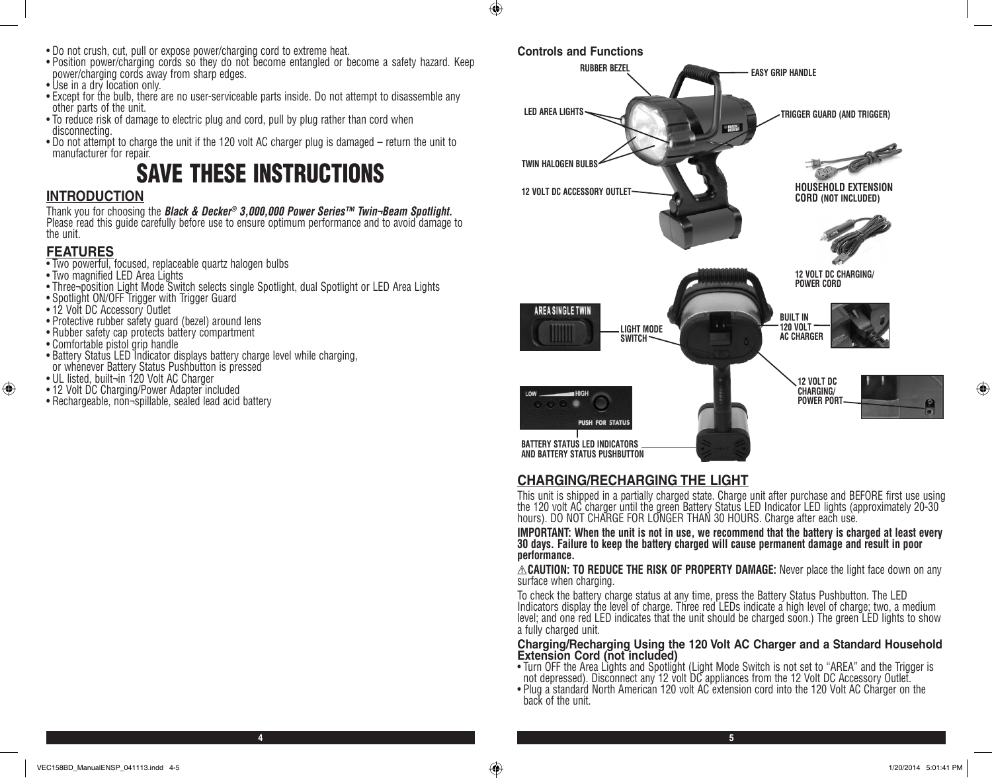- Do not crush, cut, pull or expose power/charging cord to extreme heat.
- Position power/charging cords so they do not become entangled or become a safety hazard. Keep power/charging cords away from sharp edges.
- Use in a dry location only.
- Except for the bulb, there are no user-serviceable parts inside. Do not attempt to disassemble any other parts of the unit.
- To reduce risk of damage to electric plug and cord, pull by plug rather than cord when disconnecting.
- Do not attempt to charge the unit if the 120 volt AC charger plug is damaged return the unit to manufacturer for repair.

# SAVE THESE INSTRUCTIONS

# **INTRODUCTION**

Thank you for choosing the *Black & Decker® 3,000,000 Power Series™ Twin¬Beam Spotlight.*  Please read this guide carefully before use to ensure optimum performance and to avoid damage to the unit.

# **FEATURES**

⊕

- Two powerful, focused, replaceable quartz halogen bulbs
- Two magnified LED Area Lights
- Three¬position Light Mode Switch selects single Spotlight, dual Spotlight or LED Area Lights
- Spotlight ON/OFF Trigger with Trigger Guard
- 12 Volt DC Accessory Outlet
- Protective rubber safety guard (bezel) around lens
- Rubber safety cap protects battery compartment
- Comfortable pistol grip handle
- Battery Status LED Indicator displays battery charge level while charging, or whenever Battery Status Pushbutton is pressed
- UL listed, built¬in 120 Volt AC Charger
- 12 Volt DC Charging/Power Adapter included
- Rechargeable, non¬spillable, sealed lead acid battery



# **CHARGING/RECHARGING THE LIGHT**

This unit is shipped in a partially charged state. Charge unit after purchase and BEFORE first use using the 120 volt AC charger until the green Battery Status LED Indicator LED lights (approximately 20-30 hours). DO NOT CHARGE FOR LONGER THAN 30 HOURS. Charge after each use.

**IMPORTANT: When the unit is not in use, we recommend that the battery is charged at least every 30 days. Failure to keep the battery charged will cause permanent damage and result in poor performance.**

**CAUTION: TO REDUCE THE RISK OF PROPERTY DAMAGE:** Never place the light face down on any surface when charging.

To check the battery charge status at any time, press the Battery Status Pushbutton. The LED Indicators display the level of charge. Three red LEDs indicate a high level of charge; two, a medium level; and one red LED indicates that the unit should be charged soon.) The green LED lights to show a fully charged unit.

## **Charging/Recharging Using the 120 Volt AC Charger and a Standard Household Extension Cord (not included)**

- Turn OFF the Area Lights and Spotlight (Light Mode Switch is not set to "AREA" and the Trigger is not depressed). Disconnect any 12 volt DC appliances from the 12 Volt DC Accessory Outlet.
- Plug a standard North American 120 volt AC extension cord into the 120 Volt AC Charger on the back of the unit.

⊕

**4 5**

 $\bigoplus$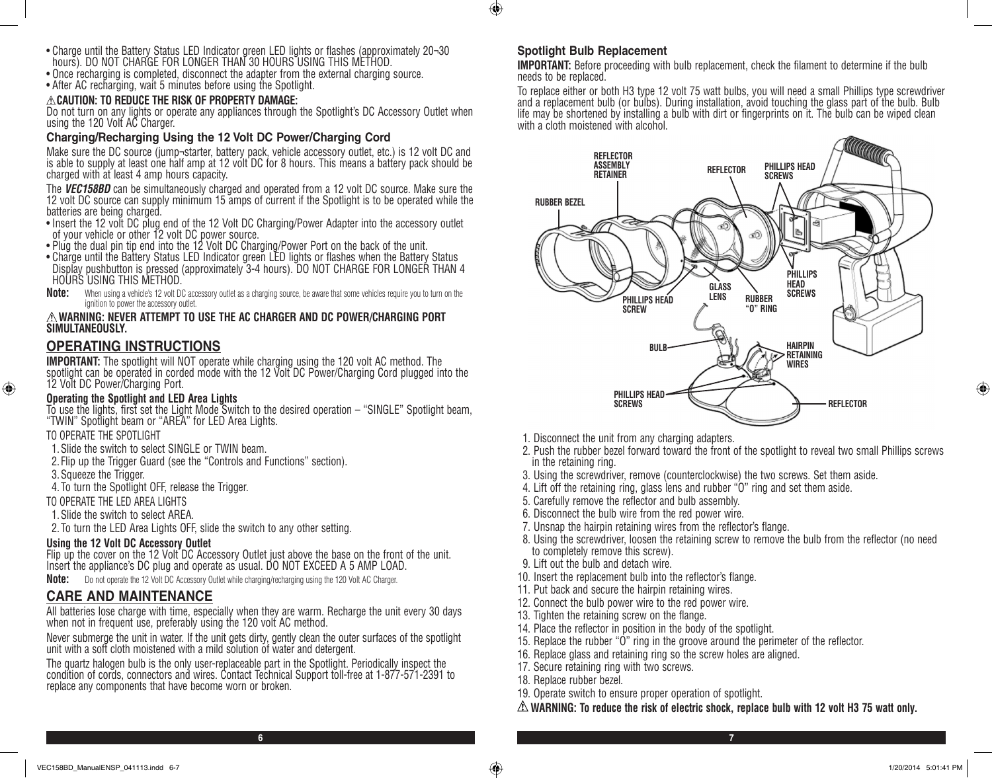- Charge until the Battery Status LED Indicator green LED lights or flashes (approximately 20¬30 hours). DO NOT CHARGE FOR LONGER THAN 30 HOURS USING THIS METHOD.
- Once recharging is completed, disconnect the adapter from the external charging source.
- After AC recharging, wait 5 minutes before using the Spotlight.

## **CAUTION: TO REDUCE THE RISK OF PROPERTY DAMAGE:**

Do not turn on any lights or operate any appliances through the Spotlight's DC Accessory Outlet when using the 120 Volt AC Charger.

## **Charging/Recharging Using the 12 Volt DC Power/Charging Cord**

Make sure the DC source (jump¬starter, battery pack, vehicle accessory outlet, etc.) is 12 volt DC and is able to supply at least one half amp at 12 volt DC for 8 hours. This means a battery pack should be charged with at least 4 amp hours capacity.

The *VEC158BD* can be simultaneously charged and operated from a 12 volt DC source. Make sure the 12 volt DC source can supply minimum 15 amps of current if the Spotlight is to be operated while the batteries are being charged.

- Insert the 12 volt DC plug end of the 12 Volt DC Charging/Power Adapter into the accessory outlet of your vehicle or other 12 volt DC power source.
- Plug the dual pin tip end into the 12 Volt DC Charging/Power Port on the back of the unit.
- Charge until the Battery Status LED Indicator green LED lights or flashes when the Battery Status Display pushbutton is pressed (approximately 3-4 hours). DO NOT CHARGE FOR LONGER THAN 4 HOURS USING THIS METHOD.
- **Note:** When using a vehicle's 12 volt DC accessory outlet as a charging source, be aware that some vehicles require you to turn on the ignition to power the accessory outlet

### **WARNING: NEVER ATTEMPT TO USE THE AC CHARGER AND DC POWER/CHARGING PORT SIMULTANEOUSLY.**

## **OPERATING INSTRUCTIONS**

**IMPORTANT:** The spotlight will NOT operate while charging using the 120 volt AC method. The spotlight can be operated in corded mode with the 12 Volt DC Power/Charging Cord plugged into the 12 Volt DC Power/Charging Port.

## **Operating the Spotlight and LED Area Lights**

To use the lights, first set the Light Mode Switch to the desired operation – "SINGLE" Spotlight beam, "TWIN" Spotlight beam or "AREA" for LED Area Lights.

## TO OPERATE THE SPOTLIGHT

- 1.Slide the switch to select SINGLE or TWIN beam.
- 2. Flip up the Trigger Guard (see the "Controls and Functions" section).
- 3.Squeeze the Trigger.

⊕

4. To turn the Spotlight OFF, release the Trigger.

TO OPERATE THE LED AREA LIGHTS

1.Slide the switch to select AREA.

2. To turn the LED Area Lights OFF, slide the switch to any other setting.

## **Using the 12 Volt DC Accessory Outlet**

Flip up the cover on the 12 Volt DC Accessory Outlet just above the base on the front of the unit. Insert the appliance's DC plug and operate as usual. DO NOT EXCEED A 5 AMP LOAD.

**Note:** Do not operate the 12 Volt DC Accessory Outlet while charging/recharging using the 120 Volt AC Charger.

# **CARE AND MAINTENANCE**

All batteries lose charge with time, especially when they are warm. Recharge the unit every 30 days when not in frequent use, preferably using the 120 volt AC method.

Never submerge the unit in water. If the unit gets dirty, gently clean the outer surfaces of the spotlight unit with a soft cloth moistened with a mild solution of water and detergent.

The quartz halogen bulb is the only user-replaceable part in the Spotlight. Periodically inspect the condition of cords, connectors and wires. Contact Technical Support toll-free at 1-877-571-2391 to replace any components that have become worn or broken.

## **Spotlight Bulb Replacement**

 $\bigoplus$ 

**IMPORTANT:** Before proceeding with bulb replacement, check the filament to determine if the bulb needs to be replaced.

To replace either or both H3 type 12 volt 75 watt bulbs, you will need a small Phillips type screwdriver and a replacement bulb (or bulbs). During installation, avoid touching the glass part of the bulb. Bulb life may be shortened by installing a bulb with dirt or fingerprints on it. The bulb can be wiped clean with a cloth moistened with alcohol.



- 1. Disconnect the unit from any charging adapters.
- 2. Push the rubber bezel forward toward the front of the spotlight to reveal two small Phillips screws in the retaining ring.
- 3. Using the screwdriver, remove (counterclockwise) the two screws. Set them aside.
- 4. Lift off the retaining ring, glass lens and rubber "O" ring and set them aside.
- 5. Carefully remove the reflector and bulb assembly.
- 6. Disconnect the bulb wire from the red power wire.
- 7. Unsnap the hairpin retaining wires from the reflector's flange.
- 8. Using the screwdriver, loosen the retaining screw to remove the bulb from the reflector (no need to completely remove this screw).
- 9. Lift out the bulb and detach wire.
- 10. Insert the replacement bulb into the reflector's flange.
- 11. Put back and secure the hairpin retaining wires.
- 12. Connect the bulb power wire to the red power wire.
- 13. Tighten the retaining screw on the flange.
- 14. Place the reflector in position in the body of the spotlight.
- 15. Replace the rubber "O" ring in the groove around the perimeter of the reflector.
- 16. Replace glass and retaining ring so the screw holes are aligned.
- 17. Secure retaining ring with two screws.
- 18. Replace rubber bezel.

**6 7**

- 19. Operate switch to ensure proper operation of spotlight.
- **WARNING: To reduce the risk of electric shock, replace bulb with 12 volt H3 75 watt only.**

⊕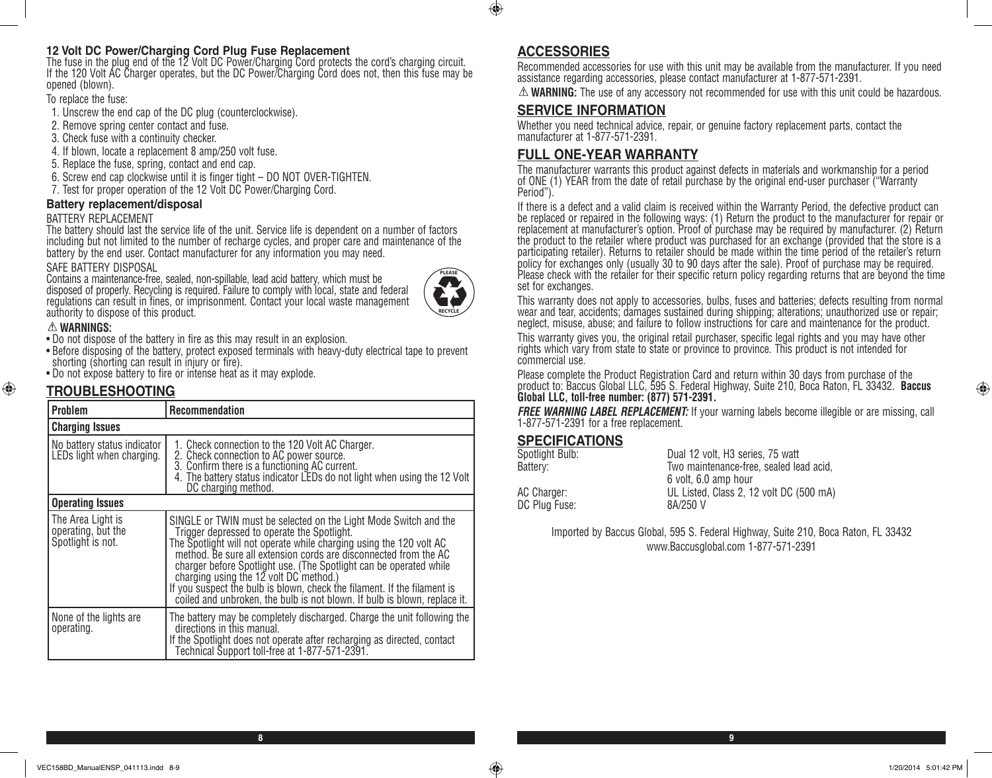## **12 Volt DC Power/Charging Cord Plug Fuse Replacement**

The fuse in the plug end of the 12 Volt DC Power/Charging Cord protects the cord's charging circuit. If the 120 Volt AC Charger operates, but the DC Power/Charging Cord does not, then this fuse may be opened (blown).

To replace the fuse:

- 1. Unscrew the end cap of the DC plug (counterclockwise).
- 2. Remove spring center contact and fuse.
- 3. Check fuse with a continuity checker.
- 4. If blown, locate a replacement 8 amp/250 volt fuse.
- 5. Replace the fuse, spring, contact and end cap.
- 6. Screw end cap clockwise until it is finger tight DO NOT OVER-TIGHTEN.
- 7. Test for proper operation of the 12 Volt DC Power/Charging Cord.

### **Battery replacement/disposal**

#### BATTERY REPLACEMENT

The battery should last the service life of the unit. Service life is dependent on a number of factors including but not limited to the number of recharge cycles, and proper care and maintenance of the battery by the end user. Contact manufacturer for any information you may need.

#### SAFE BATTERY DISPOSAL

Contains a maintenance-free, sealed, non-spillable, lead acid battery, which must be disposed of properly. Recycling is required. Failure to comply with local, state and federal regulations can result in fines, or imprisonment. Contact your local waste management authority to dispose of this product.



## **WARNINGS:**

⊕

• Do not dispose of the battery in fire as this may result in an explosion.

- Before disposing of the battery, protect exposed terminals with heavy-duty electrical tape to prevent shorting (shorting can result in injury or fire).
- Do not expose battery to fire or intense heat as it may explode.

# **TROUBLESHOOTING**

| <b>Problem</b>                                               | <b>Recommendation</b>                                                                                                                                                                                                                                                                                                                                                                                                                                                                                                            |  |  |
|--------------------------------------------------------------|----------------------------------------------------------------------------------------------------------------------------------------------------------------------------------------------------------------------------------------------------------------------------------------------------------------------------------------------------------------------------------------------------------------------------------------------------------------------------------------------------------------------------------|--|--|
| <b>Charging Issues</b>                                       |                                                                                                                                                                                                                                                                                                                                                                                                                                                                                                                                  |  |  |
| No battery status indicator<br>LEDs light when charging.     | 1. Check connection to the 120 Volt AC Charger.<br>2. Check connection to AC power source.<br>3. Confirm there is a functioning AC current.<br>4. The battery status indicator LEDs do not light when using the 12 Volt<br>DC charging method.                                                                                                                                                                                                                                                                                   |  |  |
| <b>Operating Issues</b>                                      |                                                                                                                                                                                                                                                                                                                                                                                                                                                                                                                                  |  |  |
| The Area Light is<br>operating, but the<br>Spotlight is not. | SINGLE or TWIN must be selected on the Light Mode Switch and the<br>Trigger depressed to operate the Spotlight.<br>The Spotlight will not operate while charging using the 120 volt AC<br>method. Be sure all extension cords are disconnected from the AC<br>charger before Spotlight use. (The Spotlight can be operated while charging using the 12 volt DC method.)<br>If you suspect the bulb is blown, check the filament. If the filament is<br>coiled and unbroken, the bulb is not blown. If bulb is blown, replace it. |  |  |
| None of the lights are<br>operating.                         | The battery may be completely discharged. Charge the unit following the<br>directions in this manual.<br>If the Spotlight does not operate after recharging as directed, contact<br>Technical Support toll-free at 1-877-571-2391.                                                                                                                                                                                                                                                                                               |  |  |

# **ACCESSORIES**

 $\bigoplus$ 

Recommended accessories for use with this unit may be available from the manufacturer. If you need assistance regarding accessories, please contact manufacturer at 1-877-571-2391.

**WARNING:** The use of any accessory not recommended for use with this unit could be hazardous.

## **SERVICE INFORMATION**

Whether you need technical advice, repair, or genuine factory replacement parts, contact the manufacturer at 1-877-571-2391.

## **FULL ONE-YEAR WARRANTY**

The manufacturer warrants this product against defects in materials and workmanship for a period of ONE (1) YEAR from the date of retail purchase by the original end-user purchaser ("Warranty Period").

If there is a defect and a valid claim is received within the Warranty Period, the defective product can be replaced or repaired in the following ways: (1) Return the product to the manufacturer for repair or replacement at manufacturer's option. Proof of purchase may be required by manufacturer. (2) Return the product to the retailer where product was purchased for an exchange (provided that the store is a participating retailer). Returns to retailer should be made within the time period of the retailer's return policy for exchanges only (usually 30 to 90 days after the sale). Proof of purchase may be required. Please check with the retailer for their specific return policy regarding returns that are beyond the time set for exchanges.

This warranty does not apply to accessories, bulbs, fuses and batteries; defects resulting from normal wear and tear, accidents; damages sustained during shipping; alterations; unauthorized use or repair; neglect, misuse, abuse; and failure to follow instructions for care and maintenance for the product.

This warranty gives you, the original retail purchaser, specific legal rights and you may have other rights which vary from state to state or province to province. This product is not intended for commercial use.

Please complete the Product Registration Card and return within 30 days from purchase of the product to: Baccus Global LLC, 595 S. Federal Highway, Suite 210, Boca Raton, FL 33432. **Baccus Global LLC, toll-free number: (877) 571-2391.** 

**FREE WARNING LABEL REPLACEMENT:** If your warning labels become illegible or are missing, call 1-877-571-2391 for a free replacement.

## **SPECIFICATIONS**

| Spotlight Bulb: | Dual 12 volt, H3 series, 75 watt        |
|-----------------|-----------------------------------------|
| Batterv:        | Two maintenance-free, sealed lead acid, |
|                 | 6 volt. 6.0 amp hour                    |
| AC Charger:     | UL Listed, Class 2, 12 volt DC (500 mA) |
| DC Plug Fuse:   | 8A/250 V                                |
|                 |                                         |

Imported by Baccus Global, 595 S. Federal Highway, Suite 210, Boca Raton, FL 33432 www.Baccusglobal.com 1-877-571-2391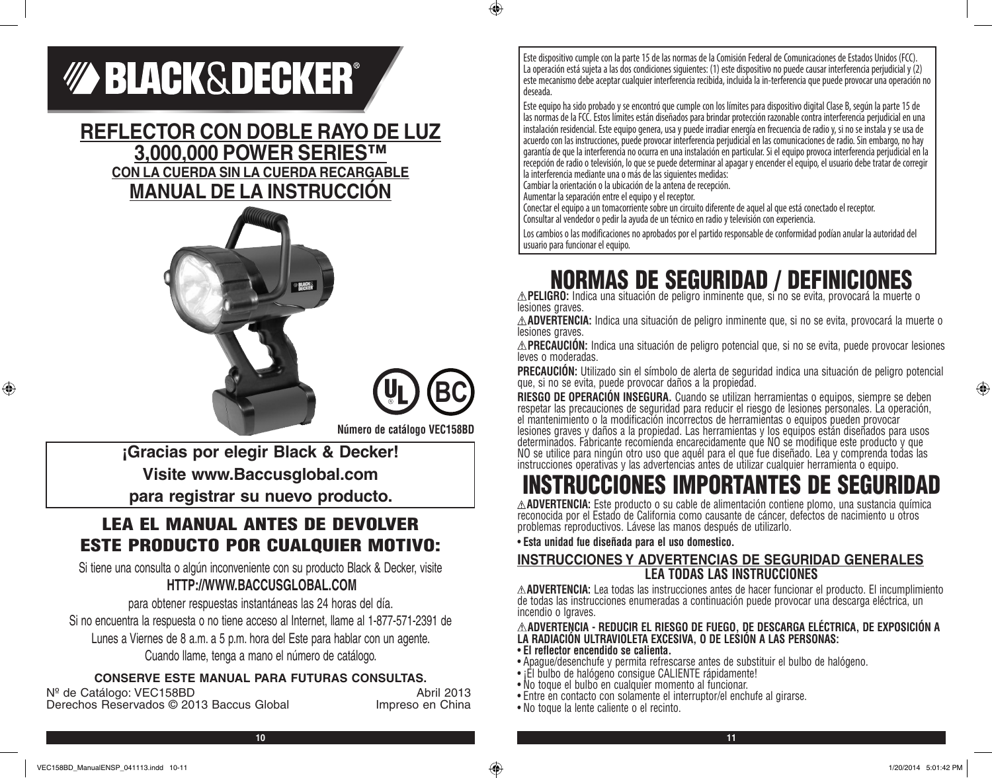# *MA BLACK&DECKER®*

# **REFLECTOR CON DOBLE RAYO DE LUZ 3,000,000 POWER SERIES™ CON LA CUERDA SIN LA CUERDA RECARGABLE MANUAL DE LA INSTRUCCIÓN**





 $\bigcirc$ 

**Número de catálogo VEC158BD**

**¡Gracias por elegir Black & Decker! Visite www.Baccusglobal.com para registrar su nuevo producto.**

# LEA EL MANUAL ANTES DE DEVOLVER ESTE PRODUCTO POR CUALQUIER MOTIVO:

Si tiene una consulta o algún inconveniente con su producto Black & Decker, visite **HTTP://WWW.BACCUSGLOBAL.COM**

para obtener respuestas instantáneas las 24 horas del día. Si no encuentra la respuesta o no tiene acceso al Internet, llame al 1-877-571-2391 de Lunes a Viernes de 8 a.m. a 5 p.m. hora del Este para hablar con un agente. Cuando llame, tenga a mano el número de catálogo.

# **CONSERVE ESTE MANUAL PARA FUTURAS CONSULTAS.**

N<sup>º</sup> de Catálogo: VEC158BD<br>Derechos Reservados © 2013 Baccus Global *Abril* 2013 Derechos Reservados © 2013 Baccus Global

Este dispositivo cumple con la parte 15 de las normas de la Comisión Federal de Comunicaciones de Estados Unidos (FCC). La operación está sujeta a las dos condiciones siguientes: (1) este dispositivo no puede causar interferencia perjudicial y (2) este mecanismo debe aceptar cualquier interferencia recibida, incluida la in-terferencia que puede provocar una operación no deseada.

Este equipo ha sido probado y se encontró que cumple con los límites para dispositivo digital Clase B, según la parte 15 de las normas de la FCC. Estos límites están diseñados para brindar protección razonable contra interferencia perjudicial en una instalación residencial. Este equipo genera, usa y puede irradiar energía en frecuencia de radio y, si no se instala y se usa de acuerdo con las instrucciones, puede provocar interferencia perjudicial en las comunicaciones de radio. Sin embargo, no hay garantía de que la interferencia no ocurra en una instalación en particular. Si el equipo provoca interferencia perjudicial en la recepción de radio o televisión, lo que se puede determinar al apagar y encender el equipo, el usuario debe tratar de corregir la interferencia mediante una o más de las siguientes medidas:

Cambiar la orientación o la ubicación de la antena de recepción.

Aumentar la separación entre el equipo y el receptor.

Conectar el equipo a un tomacorriente sobre un circuito diferente de aquel al que está conectado el receptor. Consultar al vendedor o pedir la ayuda de un técnico en radio y televisión con experiencia.

Los cambios o las modificaciones no aprobados por el partido responsable de conformidad podían anular la autoridad del usuario para funcionar el equipo.

# NORMAS DE SEGURIDAD / DEFINICIONES **PELIGRO:** Indica una situación de peligro inminente que, si no se evita, provocará la muerte o

lesiones graves.

**ADVERTENCIA:** Indica una situación de peligro inminente que, si no se evita, provocará la muerte o lesiones graves.

**PRECAUCIÓN:** Indica una situación de peligro potencial que, si no se evita, puede provocar lesiones leves o moderadas.

**PRECAUCIÓN:** Utilizado sin el símbolo de alerta de seguridad indica una situación de peligro potencial que, si no se evita, puede provocar daños a la propiedad.

**RIESGO DE OPERACION INSEGURA.** Cuando se utilizan herramientas o equipos, siempre se deben<br>respetar las precauciones de seguridad para reducir el riesgo de lesiones personales. La operación, el mantenimiento o la modificación incorrectos de herramientas o equipos pueden provocar lesiones graves y daños a la propiedad. Las herramientas y los equipos están diseñados para usos determinados. Fabricante recomienda encarecidamente que NO se modifique este producto y que NO se utilice para ningún otro uso que aquél para el que fue diseñado. Lea y comprenda todas las instrucciones operativas y las advertencias antes de utilizar cualquier herramienta o equipo.

# INSTRUCCIONES IMPORTANTES DE SEGURIDAD

**ADVERTENCIA:** Este producto o su cable de alimentación contiene plomo, una sustancia química reconocida por el Estado de California como causante de cáncer, defectos de nacimiento u otros problemas reproductivos. Lávese las manos después de utilizarlo.

• **Esta unidad fue diseñada para el uso domestico.**

## **INSTRUCCIONES Y ADVERTENCIAS DE SEGURIDAD GENERALES LEA TODAS LAS INSTRUCCIONES**

**ADVERTENCIA:** Lea todas las instrucciones antes de hacer funcionar el producto. El incumplimiento de todas las instrucciones enumeradas a continuación puede provocar una descarga eléctrica, un incendio o lgraves.

## **ADVERTENCIA - REDUCIR EL RIESGO DE FUEGO, DE DESCARGA ELÉCTRICA, DE EXPOSICIÓN A LA RADIACIÓN ULTRAVIOLETA EXCESIVA, O DE LESIÓN A LAS PERSONAS:**

- **El reflector encendido se calienta.**
- Apague/desenchufe y permita refrescarse antes de substituir el bulbo de halógeno.
- ¡El bulbo de halógeno consigue CALIENTE rápidamente!
- No toque el bulbo en cualquier momento al funcionar.
- Entre en contacto con solamente el interruptor/el enchufe al girarse.
- No toque la lente caliente o el recinto.

⊕

⊕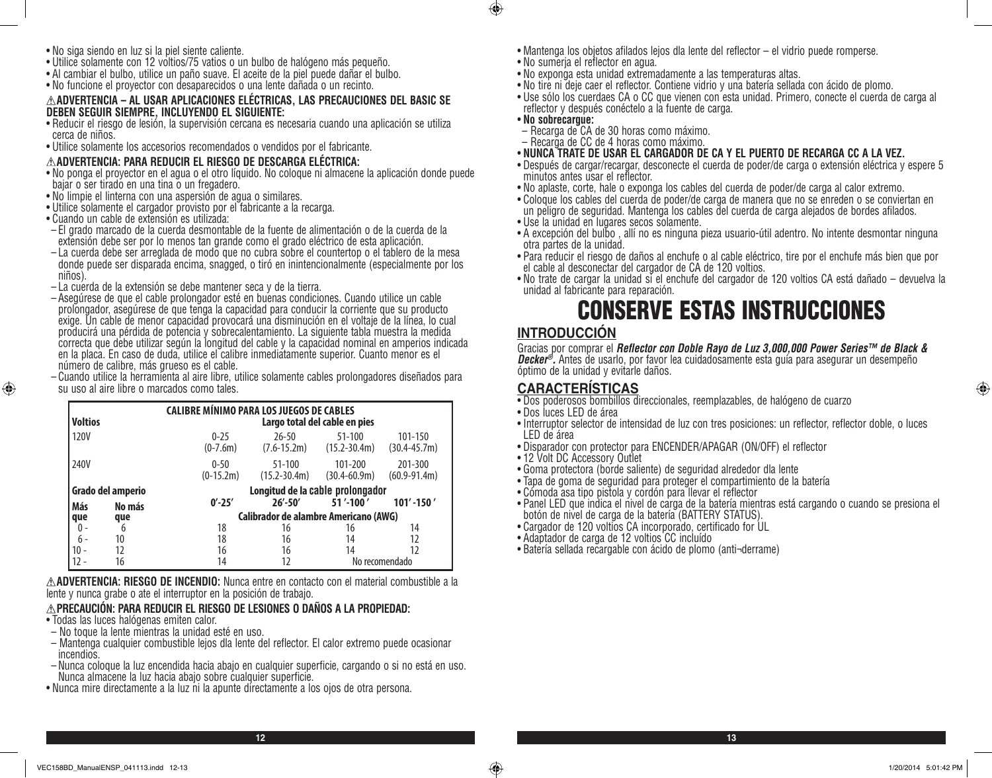- No siga siendo en luz si la piel siente caliente.
- Utilice solamente con 12 voltios/75 vatios o un bulbo de halógeno más pequeño.
- Al cambiar el bulbo, utilice un paño suave. El aceite de la piel puede dañar el bulbo.
- No funcione el proyector con desaparecidos o una lente dañada o un recinto.

### **ADVERTENCIA – AL USAR APLICACIONES ELÉCTRICAS, LAS PRECAUCIONES DEL BASIC SE DEBEN SEGUIR SIEMPRE, INCLUYENDO EL SIGUIENTE:**

- Reducir el riesgo de lesión, la supervisión cercana es necesaria cuando una aplicación se utiliza cerca de niños.
- Utilice solamente los accesorios recomendados o vendidos por el fabricante.

## **ADVERTENCIA: PARA REDUCIR EL RIESGO DE DESCARGA ELÉCTRICA:**

- No ponga el proyector en el agua o el otro líquido. No coloque ni almacene la aplicación donde puede bajar o ser tirado en una tina o un fregadero.
- No limpie el linterna con una aspersión de agua o similares.
- Utilice solamente el cargador provisto por el fabricante a la recarga.
- Cuando un cable de extensión es utilizada:

⊕

- El grado marcado de la cuerda desmontable de la fuente de alimentación o de la cuerda de la extensión debe ser por lo menos tan grande como el grado eléctrico de esta aplicación.
- La cuerda debe ser arreglada de modo que no cubra sobre el countertop o el tablero de la mesa donde puede ser disparada encima, snagged, o tiró en inintencionalmente (especialmente por los niños).
- $-$  La cuerda de la extensión se debe mantener seca y de la tierra.
- Asegúrese de que el cable prolongador esté en buenas condiciones. Cuando utilice un cable prolongador, asegúrese de que tenga la capacidad para conducir la corriente que su producto exige. Un cable de menor capacidad provocará una disminución en el voltaje de la línea, lo cual producirá una pérdida de potencia y sobrecalentamiento. La siguiente tabla muestra la medida correcta que debe utilizar según la longitud del cable y la capacidad nominal en amperios indicada en la placa. En caso de duda, utilice el calibre inmediatamente superior. Cuanto menor es el número de calibre, más grueso es el cable.
- Cuando utilice la herramienta al aire libre, utilice solamente cables prolongadores diseñados para su uso al aire libre o marcados como tales.

| <b>Voltios</b>              | <b>CALIBRE MÍNIMO PARA LOS JUEGOS DE CABLES</b><br>Largo total del cable en pies |                                              |                                |                                |                             |
|-----------------------------|----------------------------------------------------------------------------------|----------------------------------------------|--------------------------------|--------------------------------|-----------------------------|
| 120V                        |                                                                                  | $0 - 25$<br>$(0-7.6m)$                       | $26 - 50$<br>$(7.6 - 15.2m)$   | $51 - 100$<br>$(15.2 - 30.4m)$ | 101-150<br>$(30.4 - 45.7m)$ |
| 240V                        |                                                                                  | $0 - 50$<br>$(0-15.2m)$                      | $51 - 100$<br>$(15.2 - 30.4m)$ | 101-200<br>$(30.4 - 60.9m)$    | 201-300<br>$(60.9 - 91.4m)$ |
| Grado del amperio           |                                                                                  | Longitud de la cable prolongador             |                                |                                |                             |
| Más<br>No más<br>que<br>que |                                                                                  | $0' - 25'$                                   | $26' - 50'$                    | 51'-100'                       | $101' - 150'$               |
|                             |                                                                                  | <b>Calibrador de alambre Americano (AWG)</b> |                                |                                |                             |
| 0 -                         | 6                                                                                | 18                                           | 16                             | 16                             | 14                          |
| $6 -$                       | 10                                                                               | 18                                           | 16                             | 14                             | 12                          |
| $10 -$                      | 12                                                                               | 16                                           | 16                             | 14                             | 12                          |
|                             | 16                                                                               | 14                                           | 12                             |                                | No recomendado              |

**ADVERTENCIA: RIESGO DE INCENDIO:** Nunca entre en contacto con el material combustible a la lente y nunca grabe o ate el interruptor en la posición de trabajo.

## **PRECAUCIÓN: PARA REDUCIR EL RIESGO DE LESIONES O DAÑOS A LA PROPIEDAD:**

- Todas las luces halógenas emiten calor.
- No toque la lente mientras la unidad esté en uso.
- Mantenga cualquier combustible lejos dla lente del reflector. El calor extremo puede ocasionar incendios.
- Nunca coloque la luz encendida hacia abajo en cualquier superficie, cargando o si no está en uso. Nunca almacene la luz hacia abajo sobre cualquier superficie.
- Nunca mire directamente a la luz ni la apunte directamente a los ojos de otra persona.
- Mantenga los objetos afilados lejos dla lente del reflector el vidrio puede romperse.
- No sumerja el reflector en agua.
- No exponga esta unidad extremadamente a las temperaturas altas.
- No tire ni deje caer el reflector. Contiene vidrio y una batería sellada con ácido de plomo.
- Use sólo los cuerdaes CA o CC que vienen con esta unidad. Primero, conecte el cuerda de carga al reflector y después conéctelo a la fuente de carga.
- **No sobrecargue:**

 $\bigoplus$ 

- Recarga de CA de 30 horas como máximo.
- Recarga de CC de 4 horas como máximo.
- **NUNCA TRATE DE USAR EL CARGADOR DE CA Y EL PUERTO DE RECARGA CC A LA VEZ.**
- Después de cargar/recargar, desconecte el cuerda de poder/de carga o extensión eléctrica y espere 5 minutos antes usar el reflector.
- No aplaste, corte, hale o exponga los cables del cuerda de poder/de carga al calor extremo.
- Coloque los cables del cuerda de poder/de carga de manera que no se enreden o se conviertan en un peligro de seguridad. Mantenga los cables del cuerda de carga alejados de bordes afilados.
- Use la unidad en lugares secos solamente.
- A excepción del bulbo , allí no es ninguna pieza usuario-útil adentro. No intente desmontar ninguna otra partes de la unidad.
- Para reducir el riesgo de daños al enchufe o al cable eléctrico, tire por el enchufe más bien que por el cable al desconectar del cargador de CA de 120 voltios.
- No trate de cargar la unidad si el enchufe del cargador de 120 voltios CA está dañado devuelva la unidad al fabricante para reparación.

# CONSERVE ESTAS INSTRUCCIONES

# **INTRODUCCIÓN**

Gracias por comprar el *Reflector con Doble Rayo de Luz 3,000,000 Power Series™ de Black & Decker®.* Antes de usarlo, por favor lea cuidadosamente esta guía para asegurar un desempeño óptimo de la unidad y evitarle daños.

# **CARACTERÍSTICAS**

- Dos poderosos bombillos direccionales, reemplazables, de halógeno de cuarzo
- Dos luces LED de área
- Interruptor selector de intensidad de luz con tres posiciones: un reflector, reflector doble, o luces LED de área
- Disparador con protector para ENCENDER/APAGAR (ON/OFF) el reflector
- 12 Volt DC Accessory Outlet
- Goma protectora (borde saliente) de seguridad alrededor dla lente
- Tapa de goma de seguridad para proteger el compartimiento de la batería
- Cómoda asa tipo pistola y cordón para llevar el reflector
- Panel LED que indica el nivel de carga de la batería mientras está cargando o cuando se presiona el botón de nivel de carga de la batería (BATTERY STATUS).
- Cargador de 120 voltios CA incorporado, certificado for UL
- Adaptador de carga de 12 voltios CC incluído
- Batería sellada recargable con ácido de plomo (anti¬derrame)

⊕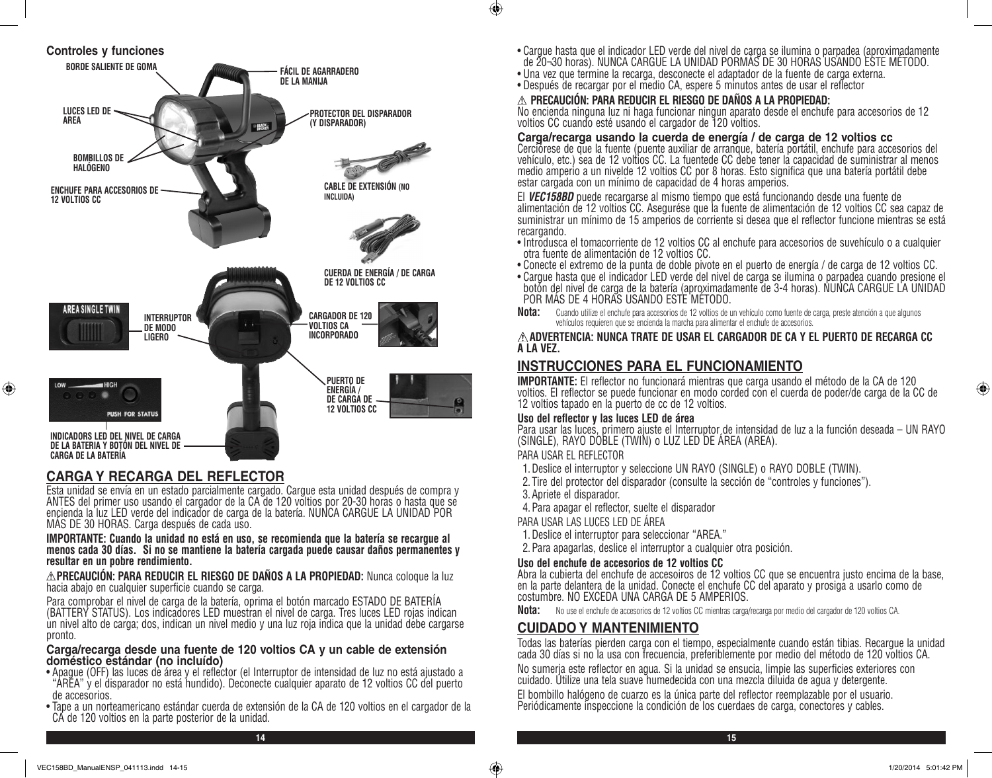

# **CARGA Y RECARGA DEL REFLECTOR**

⊕

Esta unidad se envía en un estado parcialmente cargado. Cargue esta unidad después de compra y ANTES del primer uso usando el cargador de la CA de 120 voltios por 20-30 horas o hasta que se encienda la luz LED verde del indicador de carga de la batería. NUNCA CARGUE LA UNIDAD POR<br>MÁS DE 30 HORAS. Carga después de cada uso.

**IMPORTANTE: Cuando la unidad no está en uso, se recomienda que la batería se recargue al menos cada 30 días. Si no se mantiene la batería cargada puede causar daños permanentes y resultar en un pobre rendimiento.**

**PRECAUCIÓN: PARA REDUCIR EL RIESGO DE DAÑOS A LA PROPIEDAD:** Nunca coloque la luz hacia abajo en cualquier superficie cuando se carga.

Para comprobar el nivel de carga de la batería, oprima el botón marcado ESTADO DE BATERÍA (BATTERY STATUS). Los indicadores LED muestran el nivel de carga. Tres luces LED rojas indican un nivel alto de carga; dos, indican un nivel medio y una luz roja indica que la unidad debe cargarse pronto.

### **Carga/recarga desde una fuente de 120 voltios CA y un cable de extensión doméstico estándar (no incluído)**

- Apague (OFF) las luces de área y el reflector (el Interruptor de intensidad de luz no está ajustado a "AREA" y el disparador no está hundido). Deconecte cualquier aparato de 12 voltios CC del puerto de accesorios.
- Tape a un norteamericano estándar cuerda de extensión de la CA de 120 voltios en el cargador de la CA de 120 voltios en la parte posterior de la unidad.
- Cargue hasta que el indicador LED verde del nivel de carga se ilumina o parpadea (aproximadamente de 20¬30 horas). NUNCA CARGUE LA UNIDAD PORMÁS DE 30 HORAS USANDO ESTE MÉTODO.
- Una vez que termine la recarga, desconecte el adaptador de la fuente de carga externa.
- Después de recargar por el medio CA, espere 5 minutos antes de usar el reflector

## **PRECAUCIÓN: PARA REDUCIR EL RIESGO DE DAÑOS A LA PROPIEDAD:**

No encienda ninguna luz ni haga funcionar ningun aparato desde el enchufe para accesorios de 12 voltios CC cuando esté usando el cargador de 120 voltios.

## **Carga/recarga usando la cuerda de energía / de carga de 12 voltios cc**

Cerciórese de que la fuente (puente auxiliar de arranque, batería portátil, enchufe para accesorios del vehículo, etc.) sea de 12 voltios CC. La fuentede CC debe tener la capacidad de suministrar al menos medio amperio a un nivelde 12 voltios CC por 8 horas. Esto significa que una batería portátil debe estar cargada con un mínimo de capacidad de 4 horas amperios.

El *VEC158BD* puede recargarse al mismo tiempo que está funcionando desde una fuente de alimentación de 12 voltios CC. Asegurése que la fuente de alimentación de 12 voltios CC sea capaz de suministrar un mínimo de 15 amperios de corriente si desea que el reflector funcione mientras se está recargando.

- Introdusca el tomacorriente de 12 voltios CC al enchufe para accesorios de suvehículo o a cualquier otra fuente de alimentación de 12 voltios CC.
- Conecte el extremo de la punta de doble pivote en el puerto de energía / de carga de 12 voltios CC.
- Cargue hasta que el indicador LED verde del nivel de carga se ilumina o parpadea cuando presione el botón del nivel de carga de la batería (aproximadamente de 3-4 horas). NUNCA CARGUE LA UNIDAD POR MÁS DE 4 HORAS USANDO ESTE MÉTODO.
- **Nota:** Cuando utilize el enchufe para accesorios de 12 voltios de un vehículo como fuente de carga, preste atención a que algunos vehículos requieren que se encienda la marcha para alimentar el enchufe de accesorios.

## **ADVERTENCIA: NUNCA TRATE DE USAR EL CARGADOR DE CA Y EL PUERTO DE RECARGA CC A LA VEZ.**

# **INSTRUCCIONES PARA EL FUNCIONAMIENTO**

**IMPORTANTE:** El reflector no funcionará mientras que carga usando el método de la CA de 120 voltios. El reflector se puede funcionar en modo corded con el cuerda de poder/de carga de la CC de 12 voltios tapado en la puerto de cc de 12 voltios.

## **Uso del reflector y las luces LED de área**

Para usar las luces, primero ajuste el Interruptor de intensidad de luz a la función deseada – UN RAYO (SINGLE), RAYO DOBLE (TWIN) o LUZ LED DE ÁREA (AREA).

## PARA USAR EL REFLECTOR

 $\bigcirc$ 

- 1.Deslice el interruptor y seleccione UN RAYO (SINGLE) o RAYO DOBLE (TWIN).
- 2. Tire del protector del disparador (consulte la sección de "controles y funciones").

3.Apriete el disparador.

4.Para apagar el reflector, suelte el disparador

PARA USAR LAS LUCES LED DE ÁREA

- 1.Deslice el interruptor para seleccionar "AREA."
- 2.Para apagarlas, deslice el interruptor a cualquier otra posición.

## **Uso del enchufe de accesorios de 12 voltios CC**

Abra la cubierta del enchufe de accesoiros de 12 voltios CC que se encuentra justo encima de la base, en la parte delantera de la unidad. Conecte el enchufe CC del aparato y prosiga a usarlo como de costumbre. NO EXCEDA UNA CARGA DE 5 AMPERIOS.

**Nota:** No use el enchufe de accesorios de 12 voltios CC mientras carga/recarga por medio del cargador de 120 voltios CA.

# **CUIDADO Y MANTENIMIENTO**

Todas las baterías pierden carga con el tiempo, especialmente cuando están tibias. Recargue la unidad cada 30 días si no la usa con frecuencia, preferiblemente por medio del método de 120 voltios CA.

No sumerja este reflector en agua. Si la unidad se ensucia, limpie las superficies exteriores con cuidado. Utilize una tela suave humedecida con una mezcla diluida de agua y detergente.

El bombillo halógeno de cuarzo es la única parte del reflector reemplazable por el usuario. Periódicamente inspeccione la condición de los cuerdaes de carga, conectores y cables.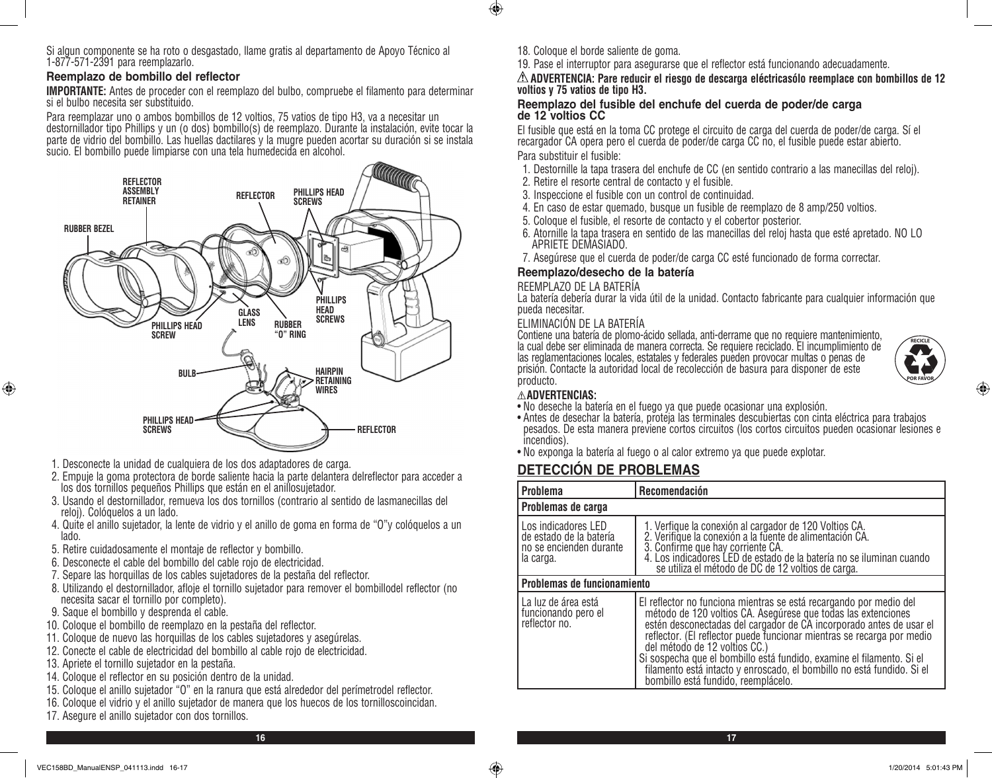Si algun componente se ha roto o desgastado, llame gratis al departamento de Apoyo Técnico al 1-877-571-2391 para reemplazarlo.

## **Reemplazo de bombillo del reflector**

**IMPORTANTE:** Antes de proceder con el reemplazo del bulbo, compruebe el filamento para determinar si el bulbo necesita ser substituido.

Para reemplazar uno o ambos bombillos de 12 voltios, 75 vatios de tipo H3, va a necesitar un destornillador tipo Phillips y un (o dos) bombillo(s) de reemplazo. Durante la instalación, evite tocar la parte de vidrio del bombillo. Las huellas dactilares y la mugre pueden acortar su duración si se instala sucio. El bombillo puede limpiarse con una tela humedecida en alcohol.



- 1. Desconecte la unidad de cualquiera de los dos adaptadores de carga.
- 2. Empuje la goma protectora de borde saliente hacia la parte delantera delreflector para acceder a los dos tornillos pequeños Phillips que están en el anillosujetador.
- 3. Usando el destornillador, remueva los dos tornillos (contrario al sentido de lasmanecillas del reloj). Colóquelos a un lado.
- 4. Quite el anillo sujetador, la lente de vidrio y el anillo de goma en forma de "O"y colóquelos a un lado.
- 5. Retire cuidadosamente el montaje de reflector y bombillo.
- 6. Desconecte el cable del bombillo del cable rojo de electricidad.
- 7. Separe las horquillas de los cables sujetadores de la pestaña del reflector.
- 8. Utilizando el destornillador, afloje el tornillo sujetador para remover el bombillodel reflector (no necesita sacar el tornillo por completo).
- 9. Saque el bombillo y desprenda el cable.

⊕

- 10. Coloque el bombillo de reemplazo en la pestaña del reflector.
- 11. Coloque de nuevo las horquillas de los cables sujetadores y asegúrelas.
- 12. Conecte el cable de electricidad del bombillo al cable rojo de electricidad.
- 13. Apriete el tornillo sujetador en la pestaña.
- 14. Coloque el reflector en su posición dentro de la unidad.
- 15. Coloque el anillo sujetador "O" en la ranura que está alrededor del perímetrodel reflector.
- 16. Coloque el vidrio y el anillo sujetador de manera que los huecos de los tornilloscoincidan.
- 17. Asegure el anillo sujetador con dos tornillos.

18. Coloque el borde saliente de goma.

 $\bigoplus$ 

19. Pase el interruptor para asegurarse que el reflector está funcionando adecuadamente.

## **ADVERTENCIA: Pare reducir el riesgo de descarga eléctricasólo reemplace con bombillos de 12 voltios y 75 vatios de tipo H3.**

### **Reemplazo del fusible del enchufe del cuerda de poder/de carga de 12 voltios CC**

El fusible que está en la toma CC protege el circuito de carga del cuerda de poder/de carga. Sí el recargador CA opera pero el cuerda de poder/de carga CC no, el fusible puede estar abierto. Para substituir el fusible:

- 1. Destornille la tapa trasera del enchufe de CC (en sentido contrario a las manecillas del reloj).
- 2. Retire el resorte central de contacto y el fusible.
- 3. Inspeccione el fusible con un control de continuidad.
- 4. En caso de estar quemado, busque un fusible de reemplazo de 8 amp/250 voltios.
- 5. Coloque el fusible, el resorte de contacto y el cobertor posterior.
- 6. Atornille la tapa trasera en sentido de las manecillas del reloj hasta que esté apretado. NO LO APRIETE DEMASIADO.
- 7. Asegúrese que el cuerda de poder/de carga CC esté funcionado de forma correctar.

# **Reemplazo/desecho de la batería**

REEMPLAZO DE LA BATERÍA

La batería debería durar la vida útil de la unidad. Contacto fabricante para cualquier información que pueda necesitar.

## ELIMINACIÓN DE LA BATERÍA

Contiene una batería de plomo-ácido sellada, anti-derrame que no requiere mantenimiento, la cual debe ser eliminada de manera correcta. Se requiere reciclado. El incumplimiento de las reglamentaciones locales, estatales y federales pueden provocar multas o penas de prisión. Contacte la autoridad local de recolección de basura para disponer de este producto.



⊕

## **ADVERTENCIAS:**

- No deseche la batería en el fuego ya que puede ocasionar una explosión.
- Antes de desechar la batería, proteja las terminales descubiertas con cinta eléctrica para trabajos pesados. De esta manera previene cortos circuitos (los cortos circuitos pueden ocasionar lesiones e incendios).
- No exponga la batería al fuego o al calor extremo ya que puede explotar.

# **DETECCIÓN DE PROBLEMAS**

| <b>Problema</b>                                                                        | Recomendación                                                                                                                                                                                                                                                                                                                                                                                                                                                                                                   |  |  |
|----------------------------------------------------------------------------------------|-----------------------------------------------------------------------------------------------------------------------------------------------------------------------------------------------------------------------------------------------------------------------------------------------------------------------------------------------------------------------------------------------------------------------------------------------------------------------------------------------------------------|--|--|
| Problemas de carga                                                                     |                                                                                                                                                                                                                                                                                                                                                                                                                                                                                                                 |  |  |
| Los indicadores LED<br>de estado de la batería<br>no se encienden durante<br>la carga. | 1. Verfique la conexión al cargador de 120 Voltios CA.<br>2. Verifique la conexión a la fuente de alimentación CA.<br>3. Confirme que hay corriente CA.<br>4. Los indicadores LED de estado de la batería no se iluminan cuando<br>se utiliza el método de DC de 12 voltios de carga.                                                                                                                                                                                                                           |  |  |
| Problemas de funcionamiento                                                            |                                                                                                                                                                                                                                                                                                                                                                                                                                                                                                                 |  |  |
| La luz de área está<br>funcionando pero el<br>reflector no.                            | El reflector no funciona mientras se está recargando por medio del<br>método de 120 voltios CA. Asegúrese que todas las extenciones<br>estén desconectadas del cargador de CA incorporado antes de usar el<br>reflector. (El reflector puede funcionar mientras se recarga por medio<br>del método de 12 voltios CC.)<br>Si sospecha que el bombillo está fundido, examine el filamento. Si el<br>filamento está intacto y enroscado, el bombillo no está fundido. Si el<br>bombillo está fundido, reemplácelo. |  |  |